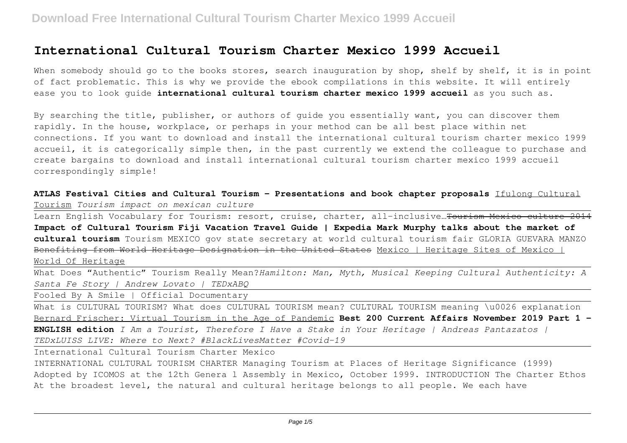## **International Cultural Tourism Charter Mexico 1999 Accueil**

When somebody should go to the books stores, search inauguration by shop, shelf by shelf, it is in point of fact problematic. This is why we provide the ebook compilations in this website. It will entirely ease you to look guide **international cultural tourism charter mexico 1999 accueil** as you such as.

By searching the title, publisher, or authors of guide you essentially want, you can discover them rapidly. In the house, workplace, or perhaps in your method can be all best place within net connections. If you want to download and install the international cultural tourism charter mexico 1999 accueil, it is categorically simple then, in the past currently we extend the colleague to purchase and create bargains to download and install international cultural tourism charter mexico 1999 accueil correspondingly simple!

**ATLAS Festival Cities and Cultural Tourism - Presentations and book chapter proposals** Ifulong Cultural Tourism *Tourism impact on mexican culture*

Learn English Vocabulary for Tourism: resort, cruise, charter, all-inclusive...Tourism Mexico culture **Impact of Cultural Tourism Fiji Vacation Travel Guide | Expedia Mark Murphy talks about the market of cultural tourism** Tourism MEXICO gov state secretary at world cultural tourism fair GLORIA GUEVARA MANZO Benefiting from World Heritage Designation in the United States Mexico | Heritage Sites of Mexico | World Of Heritage

What Does "Authentic" Tourism Really Mean?*Hamilton: Man, Myth, Musical Keeping Cultural Authenticity: A Santa Fe Story | Andrew Lovato | TEDxABQ*

Fooled By A Smile | Official Documentary

What is CULTURAL TOURISM? What does CULTURAL TOURISM mean? CULTURAL TOURISM meaning \u0026 explanation Bernard Frischer: Virtual Tourism in the Age of Pandemic **Best 200 Current Affairs November 2019 Part 1 - ENGLISH edition** *I Am a Tourist, Therefore I Have a Stake in Your Heritage | Andreas Pantazatos | TEDxLUISS LIVE: Where to Next? #BlackLivesMatter #Covid-19*

International Cultural Tourism Charter Mexico

INTERNATIONAL CULTURAL TOURISM CHARTER Managing Tourism at Places of Heritage Significance (1999) Adopted by ICOMOS at the 12th Genera l Assembly in Mexico, October 1999. INTRODUCTION The Charter Ethos At the broadest level, the natural and cultural heritage belongs to all people. We each have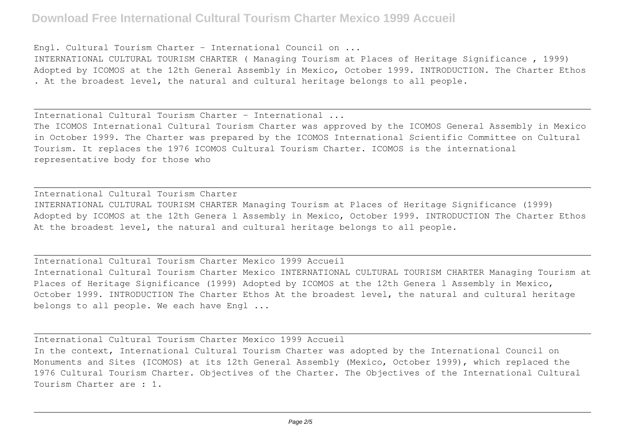## **Download Free International Cultural Tourism Charter Mexico 1999 Accueil**

Engl. Cultural Tourism Charter - International Council on ...

INTERNATIONAL CULTURAL TOURISM CHARTER ( Managing Tourism at Places of Heritage Significance , 1999) Adopted by ICOMOS at the 12th General Assembly in Mexico, October 1999. INTRODUCTION. The Charter Ethos . At the broadest level, the natural and cultural heritage belongs to all people.

International Cultural Tourism Charter - International ...

The ICOMOS International Cultural Tourism Charter was approved by the ICOMOS General Assembly in Mexico in October 1999. The Charter was prepared by the ICOMOS International Scientific Committee on Cultural Tourism. It replaces the 1976 ICOMOS Cultural Tourism Charter. ICOMOS is the international representative body for those who

International Cultural Tourism Charter INTERNATIONAL CULTURAL TOURISM CHARTER Managing Tourism at Places of Heritage Significance (1999) Adopted by ICOMOS at the 12th Genera l Assembly in Mexico, October 1999. INTRODUCTION The Charter Ethos At the broadest level, the natural and cultural heritage belongs to all people.

International Cultural Tourism Charter Mexico 1999 Accueil International Cultural Tourism Charter Mexico INTERNATIONAL CULTURAL TOURISM CHARTER Managing Tourism at Places of Heritage Significance (1999) Adopted by ICOMOS at the 12th Genera l Assembly in Mexico, October 1999. INTRODUCTION The Charter Ethos At the broadest level, the natural and cultural heritage belongs to all people. We each have Engl ...

International Cultural Tourism Charter Mexico 1999 Accueil In the context, International Cultural Tourism Charter was adopted by the International Council on Monuments and Sites (ICOMOS) at its 12th General Assembly (Mexico, October 1999), which replaced the 1976 Cultural Tourism Charter. Objectives of the Charter. The Objectives of the International Cultural Tourism Charter are : 1.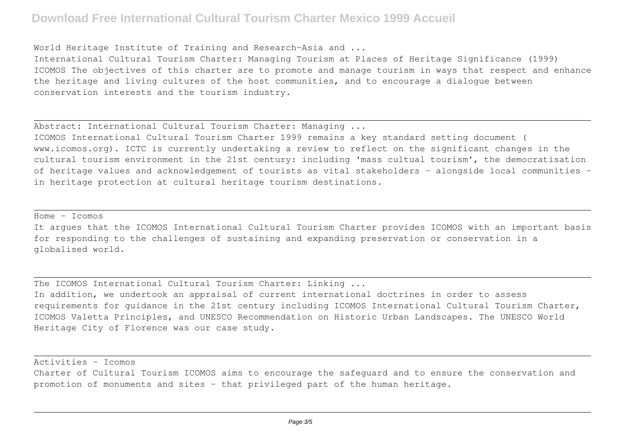## **Download Free International Cultural Tourism Charter Mexico 1999 Accueil**

World Heritage Institute of Training and Research-Asia and ...

International Cultural Tourism Charter: Managing Tourism at Places of Heritage Significance (1999) ICOMOS The objectives of this charter are to promote and manage tourism in ways that respect and enhance the heritage and living cultures of the host communities, and to encourage a dialogue between conservation interests and the tourism industry.

Abstract: International Cultural Tourism Charter: Managing ...

ICOMOS International Cultural Tourism Charter 1999 remains a key standard setting document ( www.icomos.org). ICTC is currently undertaking a review to reflect on the significant changes in the cultural tourism environment in the 21st century: including 'mass cultual tourism', the democratisation of heritage values and acknowledgement of tourists as vital stakeholders – alongside local communities – in heritage protection at cultural heritage tourism destinations.

 $Home$   $Tcmos$ 

It argues that the ICOMOS International Cultural Tourism Charter provides ICOMOS with an important basis for responding to the challenges of sustaining and expanding preservation or conservation in a globalised world.

The ICOMOS International Cultural Tourism Charter: Linking ...

In addition, we undertook an appraisal of current international doctrines in order to assess requirements for guidance in the 21st century including ICOMOS International Cultural Tourism Charter, ICOMOS Valetta Principles, and UNESCO Recommendation on Historic Urban Landscapes. The UNESCO World Heritage City of Florence was our case study.

Activities - Icomos

Charter of Cultural Tourism ICOMOS aims to encourage the safeguard and to ensure the conservation and promotion of monuments and sites - that privileged part of the human heritage.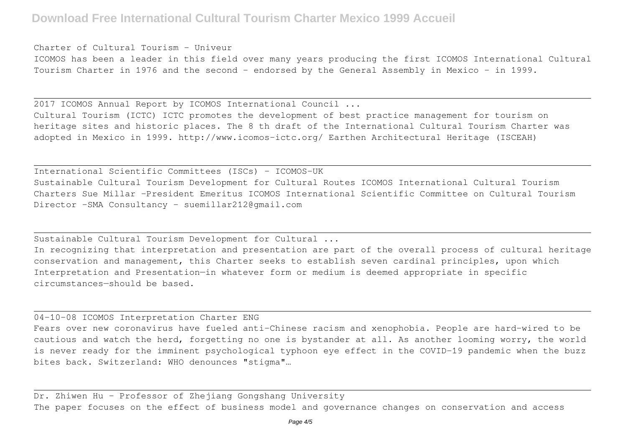Charter of Cultural Tourism - Univeur

ICOMOS has been a leader in this field over many years producing the first ICOMOS International Cultural Tourism Charter in 1976 and the second - endorsed by the General Assembly in Mexico - in 1999.

2017 ICOMOS Annual Report by ICOMOS International Council ...

Cultural Tourism (ICTC) ICTC promotes the development of best practice management for tourism on heritage sites and historic places. The 8 th draft of the International Cultural Tourism Charter was adopted in Mexico in 1999. http://www.icomos-ictc.org/ Earthen Architectural Heritage (ISCEAH)

International Scientific Committees (ISCs) – ICOMOS-UK Sustainable Cultural Tourism Development for Cultural Routes ICOMOS International Cultural Tourism Charters Sue Millar –President Emeritus ICOMOS International Scientific Committee on Cultural Tourism Director –SMA Consultancy - suemillar212@gmail.com

Sustainable Cultural Tourism Development for Cultural ...

In recognizing that interpretation and presentation are part of the overall process of cultural heritage conservation and management, this Charter seeks to establish seven cardinal principles, upon which Interpretation and Presentation—in whatever form or medium is deemed appropriate in specific circumstances—should be based.

04-10-08 ICOMOS Interpretation Charter ENG

Fears over new coronavirus have fueled anti-Chinese racism and xenophobia. People are hard-wired to be cautious and watch the herd, forgetting no one is bystander at all. As another looming worry, the world is never ready for the imminent psychological typhoon eye effect in the COVID-19 pandemic when the buzz bites back. Switzerland: WHO denounces "stigma"…

Dr. Zhiwen Hu – Professor of Zhejiang Gongshang University The paper focuses on the effect of business model and governance changes on conservation and access